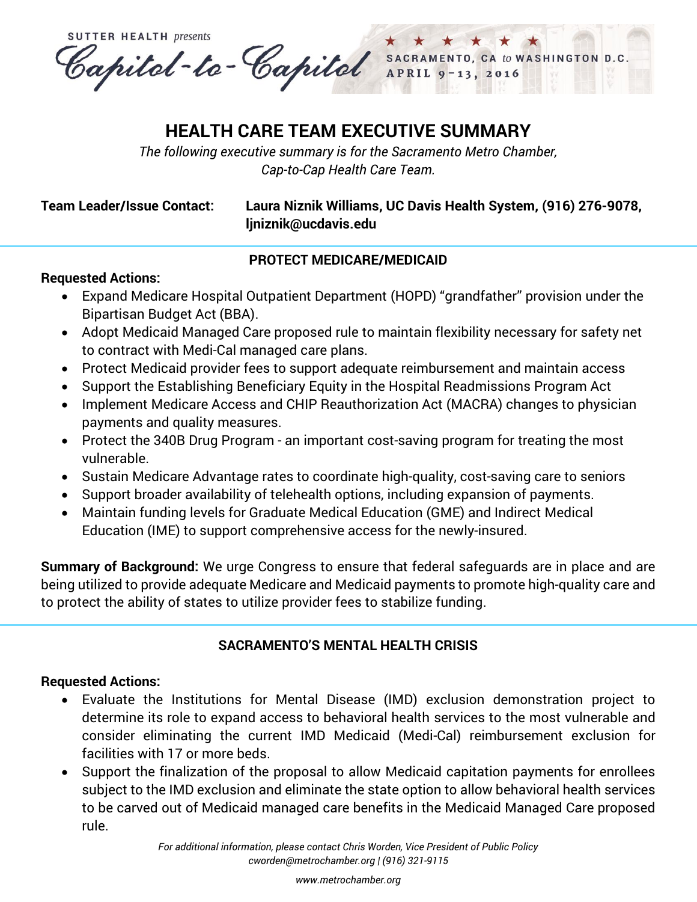**SUTTER HEALTH presents** Capital-to-Capital SACRAME SACRAMENTO, CA to WASHINGTON D.C.  $2016$ 

# **HEALTH CARE TEAM EXECUTIVE SUMMARY**

*The following executive summary is for the Sacramento Metro Chamber, Cap-to-Cap Health Care Team.*

## **Team Leader/Issue Contact: Laura Niznik Williams, UC Davis Health System, (916) 276-9078, [ljniznik@ucdavis.edu](mailto:ljniznik@ucdavis.edu)**

## **PROTECT MEDICARE/MEDICAID**

## **Requested Actions:**

- Expand Medicare Hospital Outpatient Department (HOPD) "grandfather" provision under the Bipartisan Budget Act (BBA).
- Adopt Medicaid Managed Care proposed rule to maintain flexibility necessary for safety net to contract with Medi-Cal managed care plans.
- Protect Medicaid provider fees to support adequate reimbursement and maintain access
- Support the Establishing Beneficiary Equity in the Hospital Readmissions Program Act
- Implement Medicare Access and CHIP Reauthorization Act (MACRA) changes to physician payments and quality measures.
- Protect the 340B Drug Program an important cost-saving program for treating the most vulnerable.
- Sustain Medicare Advantage rates to coordinate high-quality, cost-saving care to seniors
- Support broader availability of telehealth options, including expansion of payments.
- Maintain funding levels for Graduate Medical Education (GME) and Indirect Medical Education (IME) to support comprehensive access for the newly-insured.

**Summary of Background:** We urge Congress to ensure that federal safeguards are in place and are being utilized to provide adequate Medicare and Medicaid payments to promote high-quality care and to protect the ability of states to utilize provider fees to stabilize funding.

# **SACRAMENTO'S MENTAL HEALTH CRISIS**

## **Requested Actions:**

- Evaluate the Institutions for Mental Disease (IMD) exclusion demonstration project to determine its role to expand access to behavioral health services to the most vulnerable and consider eliminating the current IMD Medicaid (Medi-Cal) reimbursement exclusion for facilities with 17 or more beds.
- Support the finalization of the proposal to allow Medicaid capitation payments for enrollees subject to the IMD exclusion and eliminate the state option to allow behavioral health services to be carved out of Medicaid managed care benefits in the Medicaid Managed Care proposed rule.

*[www.metrochamber.org](http://www.metrochamber.org/)*